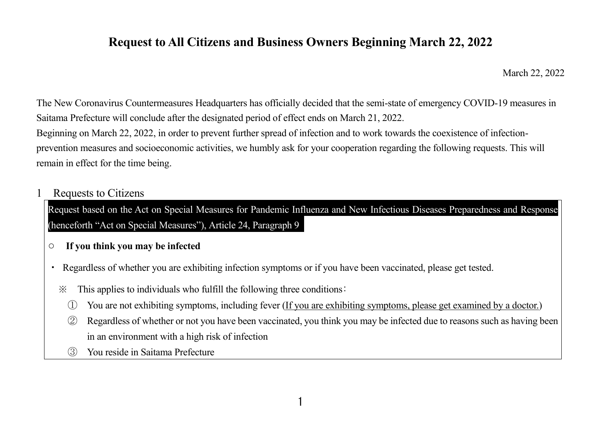## **Request to All Citizens and Business Owners Beginning March 22, 2022**

March 22, 2022

The New Coronavirus Countermeasures Headquarters has officially decided that the semi-state of emergency COVID-19 measures in Saitama Prefecture will conclude after the designated period of effect ends on March 21, 2022.

Beginning on March 22, 2022, in order to prevent further spread of infection and to work towards the coexistence of infectionprevention measures and socioeconomic activities, we humbly ask for your cooperation regarding the following requests. This will remain in effect for the time being.

**Requests to Citizens** 

Request based on the Act on Special Measures for Pandemic Influenza and New Infectious Diseases Preparedness and Response (henceforth "Act on Special Measures"), Article 24, Paragraph 9

- **If you think you may be infected**
- ・ Regardless of whether you are exhibiting infection symptoms or if you have been vaccinated, please get tested.
	- ※ This applies to individuals who fulfill the following three conditions∶
		- ① You are not exhibiting symptoms, including fever (If you are exhibiting symptoms, please get examined by a doctor.)
		- ② Regardless of whether or not you have been vaccinated, you think you may be infected due to reasons such as having been in an environment with a high risk of infection
		- ③ You reside in Saitama Prefecture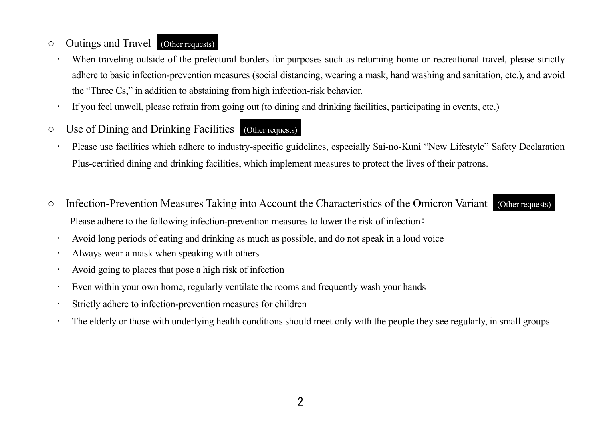## ○ Outings and Travel (Other requests)

- When traveling outside of the prefectural borders for purposes such as returning home or recreational travel, please strictly adhere to basic infection-prevention measures (social distancing, wearing a mask, hand washing and sanitation, etc.), and avoid the "Three Cs," in addition to abstaining from high infection-risk behavior.
- If you feel unwell, please refrain from going out (to dining and drinking facilities, participating in events, etc.)
- Use of Dining and Drinking Facilities (Other requests)
	- Please use facilities which adhere to industry-specific guidelines, especially Sai-no-Kuni "New Lifestyle" Safety Declaration Plus-certified dining and drinking facilities, which implement measures to protect the lives of their patrons.
- Infection-Prevention Measures Taking into Account the Characteristics of the Omicron Variant (Other requests) Please adhere to the following infection-prevention measures to lower the risk of infection∶
	- Avoid long periods of eating and drinking as much as possible, and do not speak in a loud voice
	- Always wear a mask when speaking with others
	- Avoid going to places that pose a high risk of infection
	- Even within your own home, regularly ventilate the rooms and frequently wash your hands
	- Strictly adhere to infection-prevention measures for children
	- The elderly or those with underlying health conditions should meet only with the people they see regularly, in small groups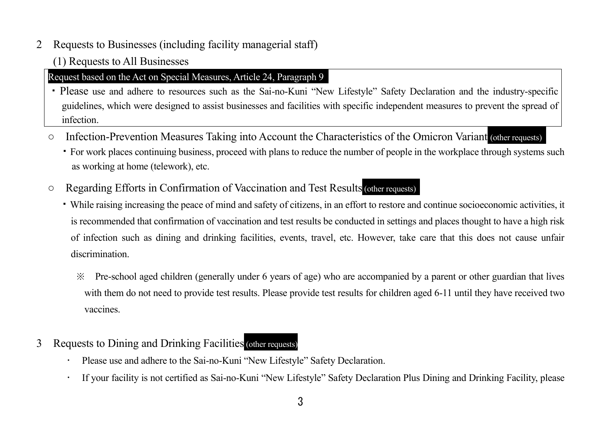2 Requests to Businesses (including facility managerial staff)

(1) Requests to All Businesses

## Request based on the Act on Special Measures, Article 24, Paragraph 9

- ・Please use and adhere to resources such as the Sai-no-Kuni "New Lifestyle" Safety Declaration and the industry-specific guidelines, which were designed to assist businesses and facilities with specific independent measures to prevent the spread of infection.
- Infection-Prevention Measures Taking into Account the Characteristics of the Omicron Variant (other requests)
	- ・For work places continuing business, proceed with plans to reduce the number of people in the workplace through systems such as working at home (telework), etc.
- Regarding Efforts in Confirmation of Vaccination and Test Results(other requests)
	- ・While raising increasing the peace of mind and safety of citizens, in an effort to restore and continue socioeconomic activities, it is recommended that confirmation of vaccination and test results be conducted in settings and places thought to have a high risk of infection such as dining and drinking facilities, events, travel, etc. However, take care that this does not cause unfair discrimination.
		- ※ Pre-school aged children (generally under 6 years of age) who are accompanied by a parent or other guardian that lives with them do not need to provide test results. Please provide test results for children aged 6-11 until they have received two vaccines.
- 3 Requests to Dining and Drinking Facilities(other requests)
	- Please use and adhere to the Sai-no-Kuni "New Lifestyle" Safety Declaration.
	- If your facility is not certified as Sai-no-Kuni "New Lifestyle" Safety Declaration Plus Dining and Drinking Facility, please